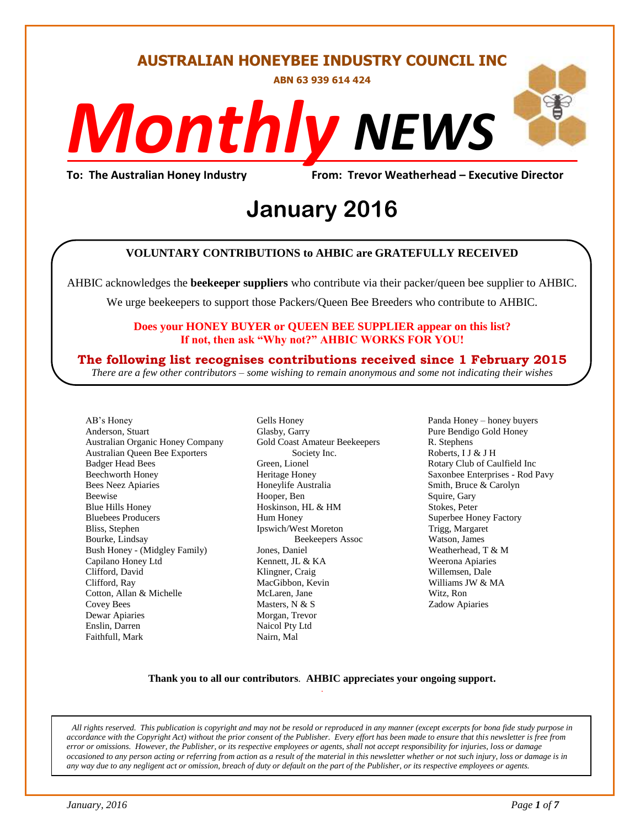#### **AUSTRALIAN HONEYBEE INDUSTRY COUNCIL INC**

**ABN 63 939 614 424**

# *NEWS Monthly*

**To: The Australian Honey Industry From: Trevor Weatherhead – Executive Director**

# *DS* **January 2016**

#### **VOLUNTARY CONTRIBUTIONS to AHBIC are GRATEFULLY RECEIVED**

AHBIC acknowledges the **beekeeper suppliers** who contribute via their packer/queen bee supplier to AHBIC.

We urge beekeepers to support those Packers/Queen Bee Breeders who contribute to AHBIC.

#### **Does your HONEY BUYER or QUEEN BEE SUPPLIER appear on this list? If not, then ask "Why not?" AHBIC WORKS FOR YOU!**

#### **The following list recognises contributions received since 1 February 2015**

*There are a few other contributors – some wishing to remain anonymous and some not indicating their wishes*

AB's Honey Anderson, Stuart Australian Organic Honey Company Australian Queen Bee Exporters Badger Head Bees Beechworth Honey Bees Neez Apiaries Beewise Blue Hills Honey Bluebees Producers Bliss, Stephen Bourke, Lindsay Bush Honey - (Midgley Family) Capilano Honey Ltd Clifford, David Clifford, Ray Cotton, Allan & Michelle Covey Bees Dewar Apiaries Enslin, Darren Faithfull, Mark

Gells Honey Glasby, Garry Gold Coast Amateur Beekeepers Society Inc. Green, Lionel Heritage Honey Honeylife Australia Hooper, Ben Hoskinson, HL & HM Hum Honey Ipswich/West Moreton Beekeepers Assoc Jones, Daniel Kennett, JL & KA Klingner, Craig MacGibbon, Kevin McLaren, Jane Masters, N & S Morgan, Trevor Naicol Pty Ltd Nairn, Mal

Panda Honey – honey buyers Pure Bendigo Gold Honey R. Stephens Roberts, I J & J H Rotary Club of Caulfield Inc Saxonbee Enterprises - Rod Pavy Smith, Bruce & Carolyn Squire, Gary Stokes, Peter Superbee Honey Factory Trigg, Margaret Watson, James Weatherhead, T & M Weerona Apiaries Willemsen, Dale Williams JW & MA Witz, Ron Zadow Apiaries

#### **Thank you to all our contributors***.* **AHBIC appreciates your ongoing support.** .

*All rights reserved. This publication is copyright and may not be resold or reproduced in any manner (except excerpts for bona fide study purpose in accordance with the Copyright Act) without the prior consent of the Publisher. Every effort has been made to ensure that this newsletter is free from error or omissions. However, the Publisher, or its respective employees or agents, shall not accept responsibility for injuries, loss or damage occasioned to any person acting or referring from action as a result of the material in this newsletter whether or not such injury, loss or damage is in any way due to any negligent act or omission, breach of duty or default on the part of the Publisher, or its respective employees or agents.*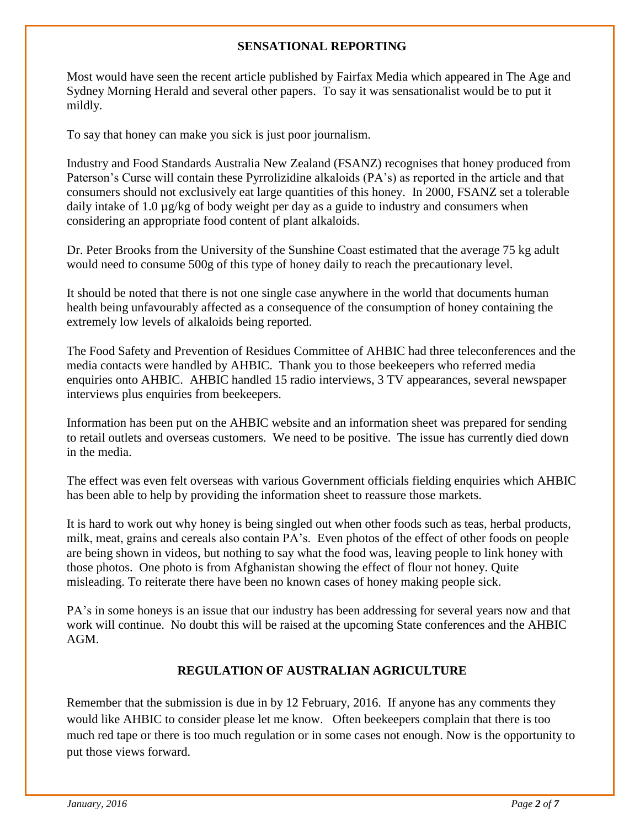#### **SENSATIONAL REPORTING**

Most would have seen the recent article published by Fairfax Media which appeared in The Age and Sydney Morning Herald and several other papers. To say it was sensationalist would be to put it mildly.

To say that honey can make you sick is just poor journalism.

Industry and Food Standards Australia New Zealand (FSANZ) recognises that honey produced from Paterson's Curse will contain these Pyrrolizidine alkaloids (PA's) as reported in the article and that consumers should not exclusively eat large quantities of this honey. In 2000, FSANZ set a tolerable daily intake of 1.0  $\mu$ g/kg of body weight per day as a guide to industry and consumers when considering an appropriate food content of plant alkaloids.

Dr. Peter Brooks from the University of the Sunshine Coast estimated that the average 75 kg adult would need to consume 500g of this type of honey daily to reach the precautionary level.

It should be noted that there is not one single case anywhere in the world that documents human health being unfavourably affected as a consequence of the consumption of honey containing the extremely low levels of alkaloids being reported.

The Food Safety and Prevention of Residues Committee of AHBIC had three teleconferences and the media contacts were handled by AHBIC. Thank you to those beekeepers who referred media enquiries onto AHBIC. AHBIC handled 15 radio interviews, 3 TV appearances, several newspaper interviews plus enquiries from beekeepers.

Information has been put on the AHBIC website and an information sheet was prepared for sending to retail outlets and overseas customers. We need to be positive. The issue has currently died down in the media.

The effect was even felt overseas with various Government officials fielding enquiries which AHBIC has been able to help by providing the information sheet to reassure those markets.

It is hard to work out why honey is being singled out when other foods such as teas, herbal products, milk, meat, grains and cereals also contain PA's. Even photos of the effect of other foods on people are being shown in videos, but nothing to say what the food was, leaving people to link honey with those photos. One photo is from Afghanistan showing the effect of flour not honey. Quite misleading. To reiterate there have been no known cases of honey making people sick.

PA's in some honeys is an issue that our industry has been addressing for several years now and that work will continue. No doubt this will be raised at the upcoming State conferences and the AHBIC AGM.

#### **REGULATION OF AUSTRALIAN AGRICULTURE**

Remember that the submission is due in by 12 February, 2016. If anyone has any comments they would like AHBIC to consider please let me know. Often beekeepers complain that there is too much red tape or there is too much regulation or in some cases not enough. Now is the opportunity to put those views forward.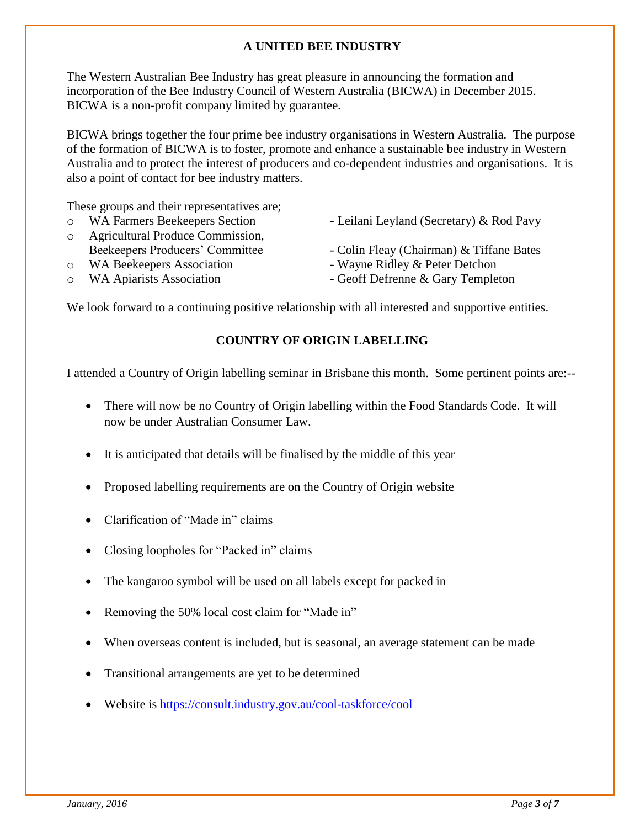#### **A UNITED BEE INDUSTRY**

The Western Australian Bee Industry has great pleasure in announcing the formation and incorporation of the Bee Industry Council of Western Australia (BICWA) in December 2015. BICWA is a non-profit company limited by guarantee.

BICWA brings together the four prime bee industry organisations in Western Australia. The purpose of the formation of BICWA is to foster, promote and enhance a sustainable bee industry in Western Australia and to protect the interest of producers and co-dependent industries and organisations. It is also a point of contact for bee industry matters.

These groups and their representatives are;

- 
- o Agricultural Produce Commission,
- 
- 
- o WA Farmers Beekeepers Section Leilani Leyland (Secretary) & Rod Pavy
	- Beekeepers Producers' Committee Colin Fleav (Chairman) & Tiffane Bates
- o WA Beekeepers Association Wayne Ridley & Peter Detchon
- o WA Apiarists Association Geoff Defrenne & Gary Templeton

We look forward to a continuing positive relationship with all interested and supportive entities.

#### **COUNTRY OF ORIGIN LABELLING**

I attended a Country of Origin labelling seminar in Brisbane this month. Some pertinent points are:--

- There will now be no Country of Origin labelling within the Food Standards Code. It will now be under Australian Consumer Law.
- It is anticipated that details will be finalised by the middle of this year
- Proposed labelling requirements are on the Country of Origin website
- Clarification of "Made in" claims
- Closing loopholes for "Packed in" claims
- The kangaroo symbol will be used on all labels except for packed in
- Removing the 50% local cost claim for "Made in"
- When overseas content is included, but is seasonal, an average statement can be made
- Transitional arrangements are yet to be determined
- Website is<https://consult.industry.gov.au/cool-taskforce/cool>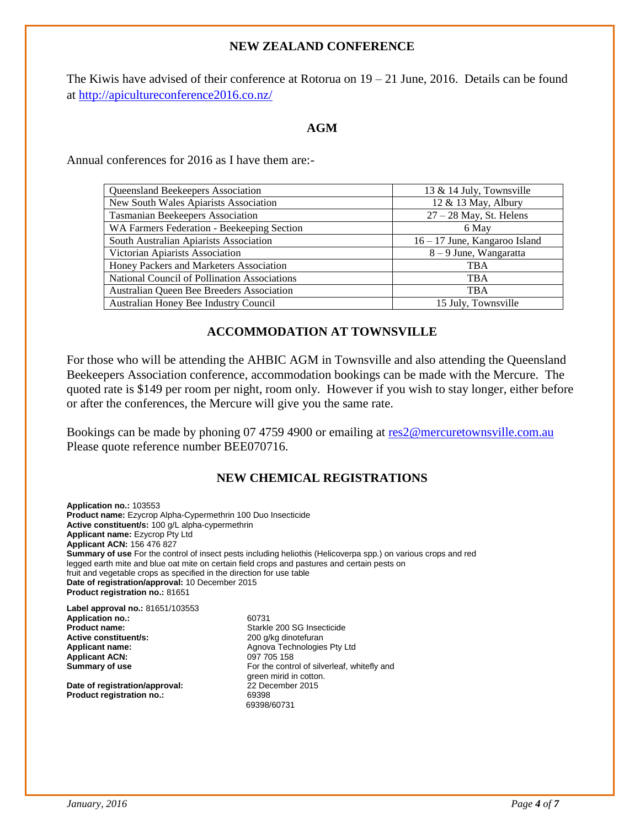#### **NEW ZEALAND CONFERENCE**

The Kiwis have advised of their conference at Rotorua on  $19 - 21$  June, 2016. Details can be found at<http://apicultureconference2016.co.nz/>

#### **AGM**

Annual conferences for 2016 as I have them are:-

| <b>Queensland Beekeepers Association</b>     | 13 & 14 July, Townsville      |
|----------------------------------------------|-------------------------------|
| New South Wales Apiarists Association        | 12 & 13 May, Albury           |
| <b>Tasmanian Beekeepers Association</b>      | $27 - 28$ May, St. Helens     |
| WA Farmers Federation - Beekeeping Section   | 6 May                         |
| South Australian Apiarists Association       | 16 – 17 June, Kangaroo Island |
| Victorian Apiarists Association              | 8 – 9 June, Wangaratta        |
| Honey Packers and Marketers Association      | <b>TBA</b>                    |
| National Council of Pollination Associations | <b>TBA</b>                    |
| Australian Queen Bee Breeders Association    | <b>TBA</b>                    |
| Australian Honey Bee Industry Council        | 15 July, Townsville           |
|                                              |                               |

#### **ACCOMMODATION AT TOWNSVILLE**

For those who will be attending the AHBIC AGM in Townsville and also attending the Queensland Beekeepers Association conference, accommodation bookings can be made with the Mercure. The quoted rate is \$149 per room per night, room only. However if you wish to stay longer, either before or after the conferences, the Mercure will give you the same rate.

Bookings can be made by phoning 07 4759 4900 or emailing at [res2@mercuretownsville.com.au](mailto:res2@mercuretownsville.com.au) Please quote reference number BEE070716.

#### **NEW CHEMICAL REGISTRATIONS**

**Application no.:** 103553 **Product name:** Ezycrop Alpha-Cypermethrin 100 Duo Insecticide **Active constituent/s:** 100 g/L alpha-cypermethrin **Applicant name:** Ezycrop Pty Ltd **Applicant ACN:** 156 476 827 **Summary of use** For the control of insect pests including heliothis (Helicoverpa spp.) on various crops and red legged earth mite and blue oat mite on certain field crops and pastures and certain pests on fruit and vegetable crops as specified in the direction for use table **Date of registration/approval:** 10 December 2015 **Product registration no.:** 81651

**Label approval no.:** 81651/103553 **Application no.:** 60731 **Product name: Starkle 200 SG Insecticide**<br> **Active constituent/s:** 200 g/kg dinotefuran **Active constituent/s:** 200 g/kg dinotefuran<br> **Applicant name:** Applicant name: Agnova Technologie: **Applicant ACN:**<br>Summary of use

**Date of registration/approval:** 22 December 2015<br> **Product registration no.:** 69398 **Product registration no.:** 

Agnova Technologies Pty Ltd<br>097 705 158 For the control of silverleaf, whitefly and green mirid in cotton. 69398/60731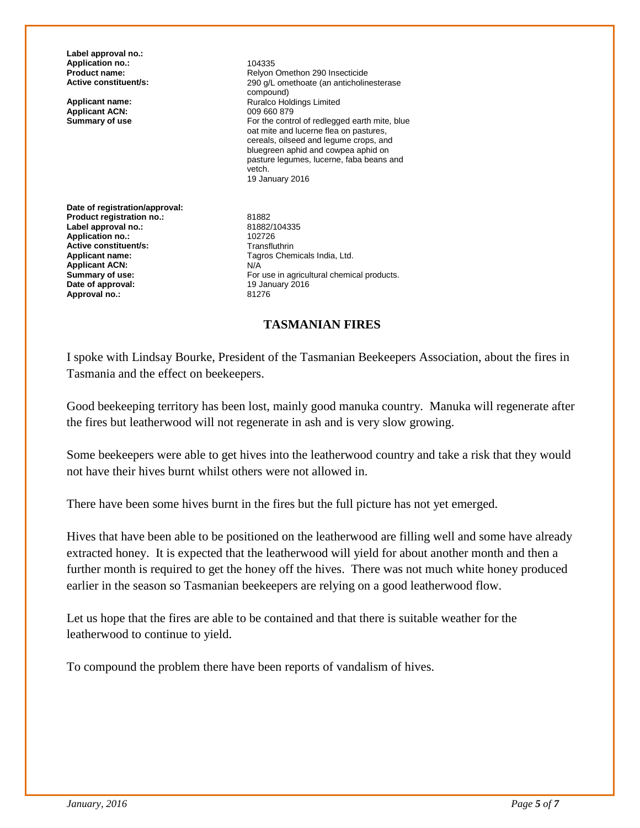**Label approval no.: Application no.:** 104335<br> **Product name:** Relyon

**Applicant ACN:**<br>Summary of use

**Product name: Relyon Omethon 290 Insecticide**<br>**Active constituent/s:** 290 q/L omethoate (an anticholin 290 g/L omethoate (an anticholinesterase compound) **Applicant name:** <br> **Applicant ACN:** <br> **Applicant ACN:** <br>  $0.09660879$ For the control of redlegged earth mite, blue oat mite and lucerne flea on pastures, cereals, oilseed and legume crops, and bluegreen aphid and cowpea aphid on pasture legumes, lucerne, faba beans and vetch. 19 January 2016

**Date of registration/approval: Product registration no.:** 81882<br>
Label approval no.: 81882/104335 **Label approval no.:** 81882/1<br> **Application no.:** 81882/102726 **Application no.: 102726**<br> **Active constituent/s:** Transfluthrin **Active constituent/s:**<br>Applicant name: **Applicant ACN: Date of approval:** 19 January 2016<br> **Approval no:** 21276 Approval no.:

Tagros Chemicals India, Ltd.<br>N/A **Summary of use:** For use in agricultural chemical products.<br> **Date of approval:** The Summary 2016

#### **TASMANIAN FIRES**

I spoke with Lindsay Bourke, President of the Tasmanian Beekeepers Association, about the fires in Tasmania and the effect on beekeepers.

Good beekeeping territory has been lost, mainly good manuka country. Manuka will regenerate after the fires but leatherwood will not regenerate in ash and is very slow growing.

Some beekeepers were able to get hives into the leatherwood country and take a risk that they would not have their hives burnt whilst others were not allowed in.

There have been some hives burnt in the fires but the full picture has not yet emerged.

Hives that have been able to be positioned on the leatherwood are filling well and some have already extracted honey. It is expected that the leatherwood will yield for about another month and then a further month is required to get the honey off the hives. There was not much white honey produced earlier in the season so Tasmanian beekeepers are relying on a good leatherwood flow.

Let us hope that the fires are able to be contained and that there is suitable weather for the leatherwood to continue to yield.

To compound the problem there have been reports of vandalism of hives.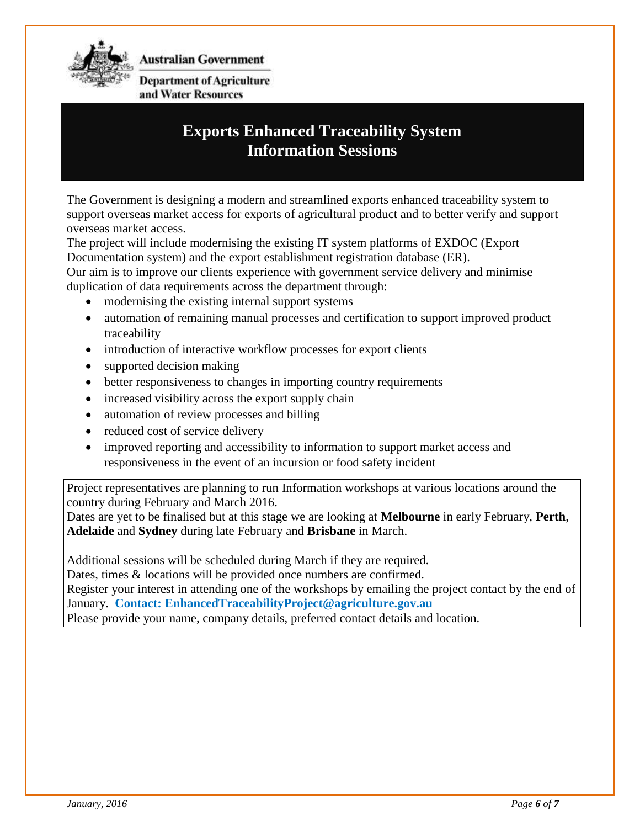

**Australian Government** 

**Department of Agriculture** and Water Resources

### **Exports Enhanced Traceability System Information Sessions**

The Government is designing a modern and streamlined exports enhanced traceability system to support overseas market access for exports of agricultural product and to better verify and support overseas market access.

The project will include modernising the existing IT system platforms of EXDOC (Export Documentation system) and the export establishment registration database (ER).

Our aim is to improve our clients experience with government service delivery and minimise duplication of data requirements across the department through:

- modernising the existing internal support systems
- automation of remaining manual processes and certification to support improved product traceability
- introduction of interactive workflow processes for export clients
- supported decision making
- better responsiveness to changes in importing country requirements
- increased visibility across the export supply chain
- automation of review processes and billing
- reduced cost of service delivery
- improved reporting and accessibility to information to support market access and responsiveness in the event of an incursion or food safety incident

Project representatives are planning to run Information workshops at various locations around the country during February and March 2016.

Dates are yet to be finalised but at this stage we are looking at **Melbourne** in early February, **Perth**, **Adelaide** and **Sydney** during late February and **Brisbane** in March.

Additional sessions will be scheduled during March if they are required.

Dates, times & locations will be provided once numbers are confirmed.

Register your interest in attending one of the workshops by emailing the project contact by the end of January. **Contact: EnhancedTraceabilityProject@agriculture.gov.au**

Please provide your name, company details, preferred contact details and location.